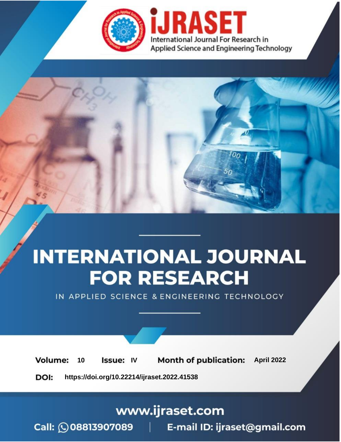

# **INTERNATIONAL JOURNAL FOR RESEARCH**

IN APPLIED SCIENCE & ENGINEERING TECHNOLOGY

10 **Issue: IV Month of publication:** April 2022 **Volume:** 

**https://doi.org/10.22214/ijraset.2022.41538**DOI:

www.ijraset.com

Call: 008813907089 | E-mail ID: ijraset@gmail.com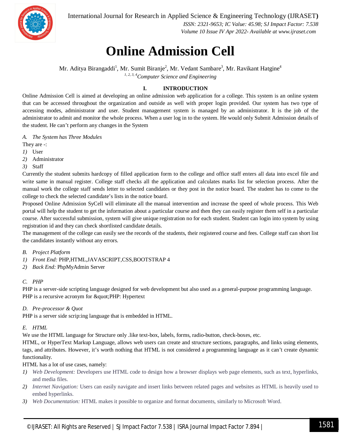

International Journal for Research in Applied Science & Engineering Technology (IJRASET**)**

 *ISSN: 2321-9653; IC Value: 45.98; SJ Impact Factor: 7.538 Volume 10 Issue IV Apr 2022- Available at www.ijraset.com*

### **Online Admission Cell**

Mr. Aditya Birangaddi<sup>1</sup>, Mr. Sumit Biranje<sup>2</sup>, Mr. Vedant Sambare<sup>3</sup>, Mr. Ravikant Hatgine<sup>4</sup> *1, 2, 3, 4Computer Science and Engineering*

#### **I. INTRODUCTION**

Online Admission Cell is aimed at developing an online admission web application for a college. This system is an online system that can be accessed throughout the organization and outside as well with proper login provided. Our system has two type of accessing modes, administrator and user. Student management system is managed by an administrator. It is the job of the administrator to admit and monitor the whole process. When a user log in to the system. He would only Submit Admission details of the student. He can't perform any changes in the System

*A. The System has Three Modules*

- They are -:
- *1)* User
- *2)* Administrator
- *3)* Staff

Currently the student submits hardcopy of filled application form to the college and office staff enters all data into excel file and write same in manual register. College staff checks all the application and calculates marks list for selection process. After the manual work the college staff sends letter to selected candidates or they post in the notice board. The student has to come to the college to check the selected candidate's lists in the notice board.

Proposed Online Admission SyCell will eliminate all the manual intervention and increase the speed of whole process. This Web portal will help the student to get the information about a particular course and then they can easily register them self in a particular course. After successful submission, system will give unique registration no for each student. Student can login into system by using registration id and they can check shortlisted candidate details.

The management of the college can easily see the records of the students, their registered course and fees. College staff can short list the candidates instantly without any errors.

- *B. Project Platform*
- *1) Front End:* PHP,HTML,JAVASCRIPT,CSS,BOOTSTRAP 4
- *2) Back End:* PhpMyAdmin Server

#### *C. PHP*

PHP is a server-side scripting language designed for web development but also used as a general-purpose programming language. PHP is a recursive acronym for " PHP: Hypertext

#### *D. Pre-processor & Quot*

PHP is a server side scrip:ing language that is embedded in HTML.

#### *E. HTML*

We use the HTML language for Structure only .like text-box, labels, forms, radio-button, check-boxes, etc.

HTML, or HyperText Markup Language, allows web users can create and structure sections, paragraphs, and links using elements, tags, and attributes. However, it's worth nothing that HTML is not considered a programming language as it can't create dynamic functionality.

HTML has a lot of use cases, namely:

- *1) Web Development:* Developers use HTML code to design how a browser displays web page elements, such as text, hyperlinks, and media files.
- *2) Internet Navigation:* Users can easily navigate and insert links between related pages and websites as HTML is heavily used to embed hyperlinks.
- *3) Web Documentation:* HTML makes it possible to organize and format documents, similarly to Microsoft Word.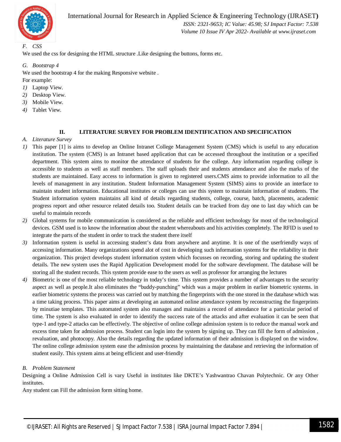

International Journal for Research in Applied Science & Engineering Technology (IJRASET**)**

 *ISSN: 2321-9653; IC Value: 45.98; SJ Impact Factor: 7.538 Volume 10 Issue IV Apr 2022- Available at www.ijraset.com*

#### *F. CSS*

We used the css for designing the HTML structure .Like designing the buttons, forms etc.

#### *G. Bootstrap 4*

We used the bootstrap 4 for the making Responsive website .

For example:

- *1)* Laptop View.
- *2)* Desktop View.
- *3)* Mobile View.
- *4)* Tablet View.

#### **II. LITERATURE SURVEY FOR PROBLEM IDENTIFICATION AND SPECIFICATION**

- *A. Literature Survey*
- *1)* This paper [1] is aims to develop an Online Intranet College Management System (CMS) which is useful to any education institution. The system (CMS) is an Intranet based application that can be accessed throughout the institution or a specified department. This system aims to monitor the attendance of students for the college. Any information regarding college is accessible to students as well as staff members. The staff uploads their and students attendance and also the marks of the students are maintained. Easy access to information is given to registered users.CMS aims to provide information to all the levels of management in any institution. Student Information Management System (SIMS) aims to provide an interface to maintain student information. Educational institutes or colleges can use this system to maintain information of students. The Student information system maintains all kind of details regarding students, college, course, batch, placements, academic progress report and other resource related details too. Student details can be tracked from day one to last day which can be useful to maintain records
- *2)* Global systems for mobile communication is considered as the reliable and efficient technology for most of the technological devices. GSM used is to know the information about the student whereabouts and his activities completely. The RFID is used to integrate the parts of the student in order to track the student there itself
- *3)* Information system is useful in accessing student's data from anywhere and anytime. It is one of the userfriendly ways of accessing information. Many organizations spend alot of cost in developing such information systems for the reliability in their organization. This project develops student information system which focusses on recording, storing and updating the student details. The new system uses the Rapid Application Development model for the software development. The database will be storing all the student records. This system provide ease to the users as well as professor for arranging the lectures
- *4)* Biometric is one of the most reliable technology in today's time. This system provides a number of advantages to the security aspect as well as people.It also eliminates the "buddy-punching" which was a major problem in earlier biometric systems. in earlier biometric systems the process was carried out by matching the fingerprints with the one stored in the database which was a time taking process. This paper aims at developing an automated online attendance system by reconstructing the fingerprints by minutiae templates. This automated system also manages and maintains a record of attendance for a particular period of time. The system is also evaluated in order to identify the success rate of the attacks and after evaluation it can be seen that type-1 and type-2 attacks can be effectively. The objective of online college admission system is to reduce the manual work and excess time taken for admission process. Student can login into the system by signing up. They can fill the form of admission , revaluation, and photocopy. Also the details regarding the updated information of their admission is displayed on the window. The online college admission system ease the admission process by maintaining the database and retrieving the information of student easily. This system aims at being efficient and user-friendly

#### *B. Problem Statement*

Designing a Online Admission Cell is vary Useful in institutes like DKTE's Yashwantrao Chavan Polytechnic. Or any Other institutes.

Any student can Fill the admission form sitting home.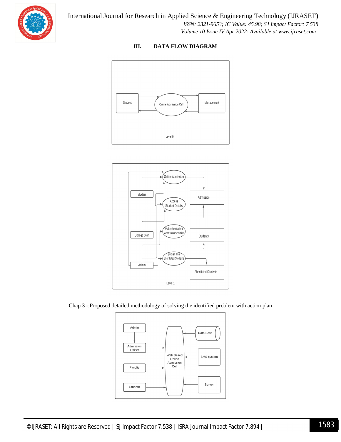

#### **III. DATA FLOW DIAGRAM**





Chap 3 -:Proposed detailed methodology of solving the identified problem with action plan

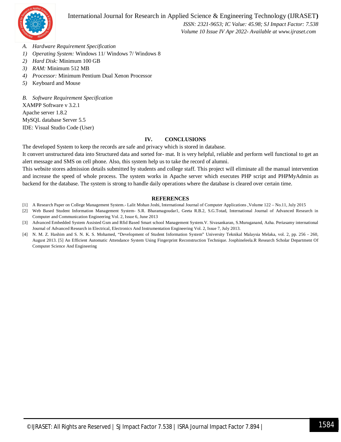

 *ISSN: 2321-9653; IC Value: 45.98; SJ Impact Factor: 7.538 Volume 10 Issue IV Apr 2022- Available at www.ijraset.com*

- *A. Hardware Requirement Specification*
- *1) Operating System:* Windows 11/ Windows 7/ Windows 8
- *2) Hard Disk:* Minimum 100 GB
- *3) RAM:* Minimum 512 MB
- *4) Processor:* Minimum Pentium Dual Xenon Processor
- *5)* Keyboard and Mouse

*B. Software Requirement Specification*

XAMPP Software v 3.2.1

Apache server 1.8.2 MySQL database Server 5.5 IDE: Visual Studio Code (User)

#### **IV. CONCLUSIONS**

The developed System to keep the records are safe and privacy which is stored in database.

It convert unstructured data into Structured data and sorted for- mat. It is very helpful, reliable and perform well functional to get an alert message and SMS on cell phone. Also, this system help us to take the record of alumni.

This website stores admission details submitted by students and college staff. This project will eliminate all the manual intervention and increase the speed of whole process. The system works in Apache server which executes PHP script and PHPMyAdmin as backend for the database. The system is strong to handle daily operations where the database is cleared over certain time.

#### **REFERENCES**

- [1] A Research Paper on College Management System.- Lalit Mohan Joshi, International Journal of Computer Applications ,Volume 122 No.11, July 2015
- [2] Web Based Student Information Management System- S.R. Bharamagoudar1, Geeta R.B.2, S.G.Totad, International Journal of Advanced Research in Computer and Communication Engineering Vol. 2, Issue 6, June 2013
- [3] Advanced Embedded System Assisted Gsm and Rfid Based Smart school Management System.V. Sivasankaran, S.Muruganand, Azha. Periasamy international Journal of Advanced Research in Electrical, Electronics And Instrumentation Engineering Vol. 2, Issue 7, July 2013.
- [4] N. M. Z. Hashim and S. N. K. S. Mohamed, "Development of Student Information System" University Teknikal Malaysia Melaka, vol. 2, pp. 256 260, August 2013. [5] An Efficient Automatic Attendance System Using Fingerprint Reconstruction Technique. Josphineleela.R Research Scholar Department Of Computer Science And Engineering